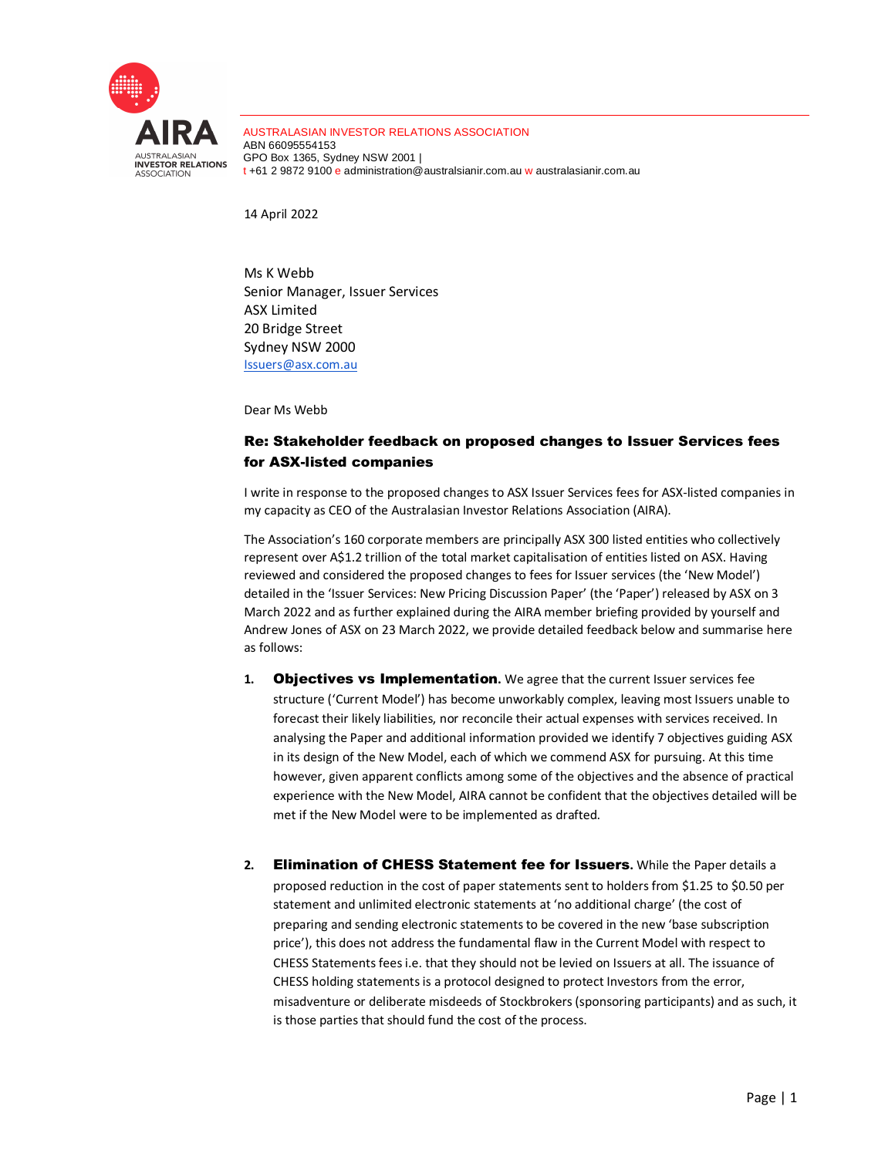

AUSTRALASIAN INVESTOR RELATIONS ASSOCIATION ABN 66095554153 GPO Box 1365, Sydney NSW 2001 | t +61 2 9872 9100 e administration@australsianir.com.au w australasianir.com.au

14 April 2022

Ms K Webb Senior Manager, Issuer Services ASX Limited 20 Bridge Street Sydney NSW 2000 Issuers@asx.com.au

Dear Ms Webb

# Re: Stakeholder feedback on proposed changes to Issuer Services fees for ASX-listed companies

I write in response to the proposed changes to ASX Issuer Services fees for ASX-listed companies in my capacity as CEO of the Australasian Investor Relations Association (AIRA).

The Association's 160 corporate members are principally ASX 300 listed entities who collectively represent over A\$1.2 trillion of the total market capitalisation of entities listed on ASX. Having reviewed and considered the proposed changes to fees for Issuer services (the 'New Model') detailed in the 'Issuer Services: New Pricing Discussion Paper' (the 'Paper') released by ASX on 3 March 2022 and as further explained during the AIRA member briefing provided by yourself and Andrew Jones of ASX on 23 March 2022, we provide detailed feedback below and summarise here as follows:

- **1.** Objectives vs Implementation**.** We agree that the current Issuer services fee structure ('Current Model') has become unworkably complex, leaving most Issuers unable to forecast their likely liabilities, nor reconcile their actual expenses with services received. In analysing the Paper and additional information provided we identify 7 objectives guiding ASX in its design of the New Model, each of which we commend ASX for pursuing. At this time however, given apparent conflicts among some of the objectives and the absence of practical experience with the New Model, AIRA cannot be confident that the objectives detailed will be met if the New Model were to be implemented as drafted.
- **2.** Elimination of CHESS Statement fee for Issuers**.** While the Paper details a proposed reduction in the cost of paper statements sent to holders from \$1.25 to \$0.50 per statement and unlimited electronic statements at 'no additional charge' (the cost of preparing and sending electronic statements to be covered in the new 'base subscription price'), this does not address the fundamental flaw in the Current Model with respect to CHESS Statements fees i.e. that they should not be levied on Issuers at all. The issuance of CHESS holding statements is a protocol designed to protect Investors from the error, misadventure or deliberate misdeeds of Stockbrokers (sponsoring participants) and as such, it is those parties that should fund the cost of the process.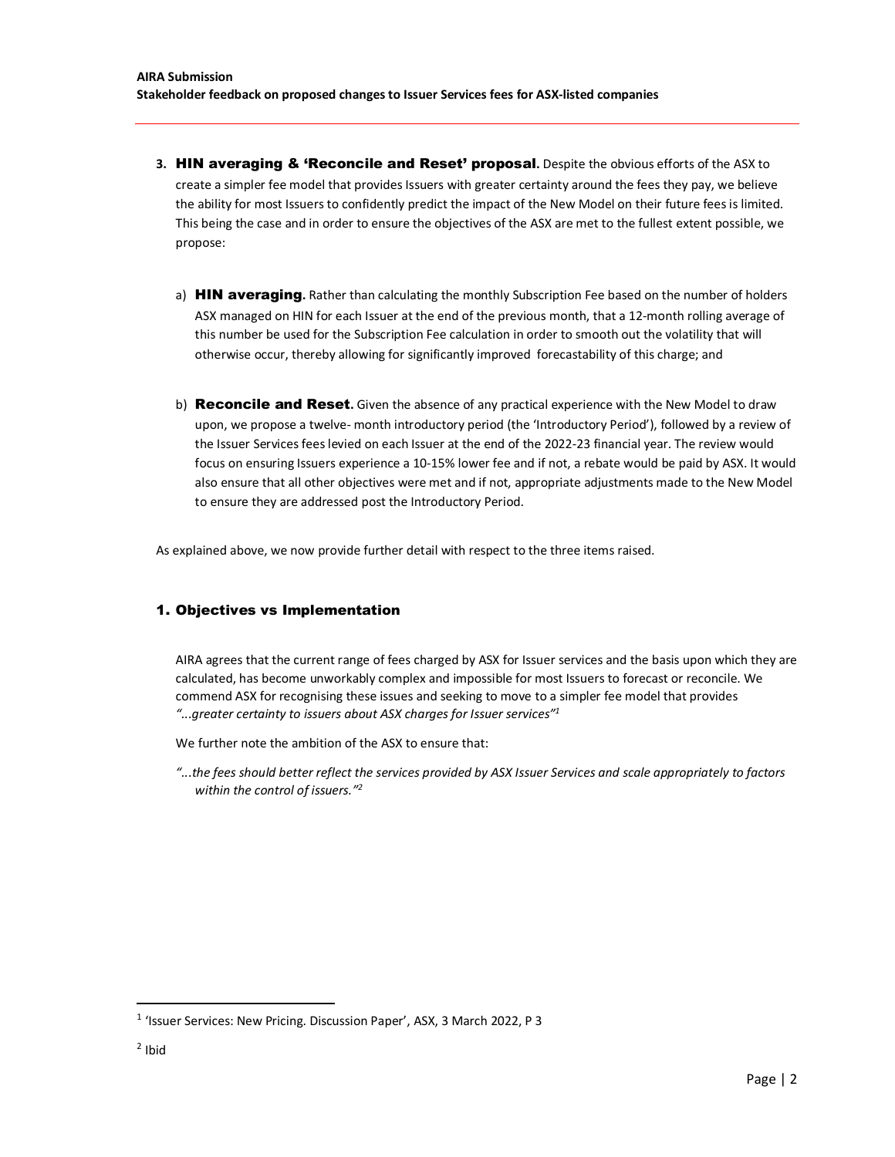- **3.** HIN averaging & 'Reconcile and Reset' proposal**.** Despite the obvious efforts of the ASX to create a simpler fee model that provides Issuers with greater certainty around the fees they pay, we believe the ability for most Issuers to confidently predict the impact of the New Model on their future fees is limited. This being the case and in order to ensure the objectives of the ASX are met to the fullest extent possible, we propose:
	- a) HIN averaging**.** Rather than calculating the monthly Subscription Fee based on the number of holders ASX managed on HIN for each Issuer at the end of the previous month, that a 12-month rolling average of this number be used for the Subscription Fee calculation in order to smooth out the volatility that will otherwise occur, thereby allowing for significantly improved forecastability of this charge; and
	- b) Reconcile and Reset**.** Given the absence of any practical experience with the New Model to draw upon, we propose a twelve- month introductory period (the 'Introductory Period'), followed by a review of the Issuer Services fees levied on each Issuer at the end of the 2022-23 financial year. The review would focus on ensuring Issuers experience a 10-15% lower fee and if not, a rebate would be paid by ASX. It would also ensure that all other objectives were met and if not, appropriate adjustments made to the New Model to ensure they are addressed post the Introductory Period.

As explained above, we now provide further detail with respect to the three items raised.

### 1. Objectives vs Implementation

AIRA agrees that the current range of fees charged by ASX for Issuer services and the basis upon which they are calculated, has become unworkably complex and impossible for most Issuers to forecast or reconcile. We commend ASX for recognising these issues and seeking to move to a simpler fee model that provides *"...greater certainty to issuers about ASX charges for Issuer services"<sup>1</sup>*

We further note the ambition of the ASX to ensure that:

*"...the fees should better reflect the services provided by ASX Issuer Services and scale appropriately to factors within the control of issuers."<sup>2</sup>*

<sup>&</sup>lt;sup>1</sup> 'Issuer Services: New Pricing. Discussion Paper', ASX, 3 March 2022, P 3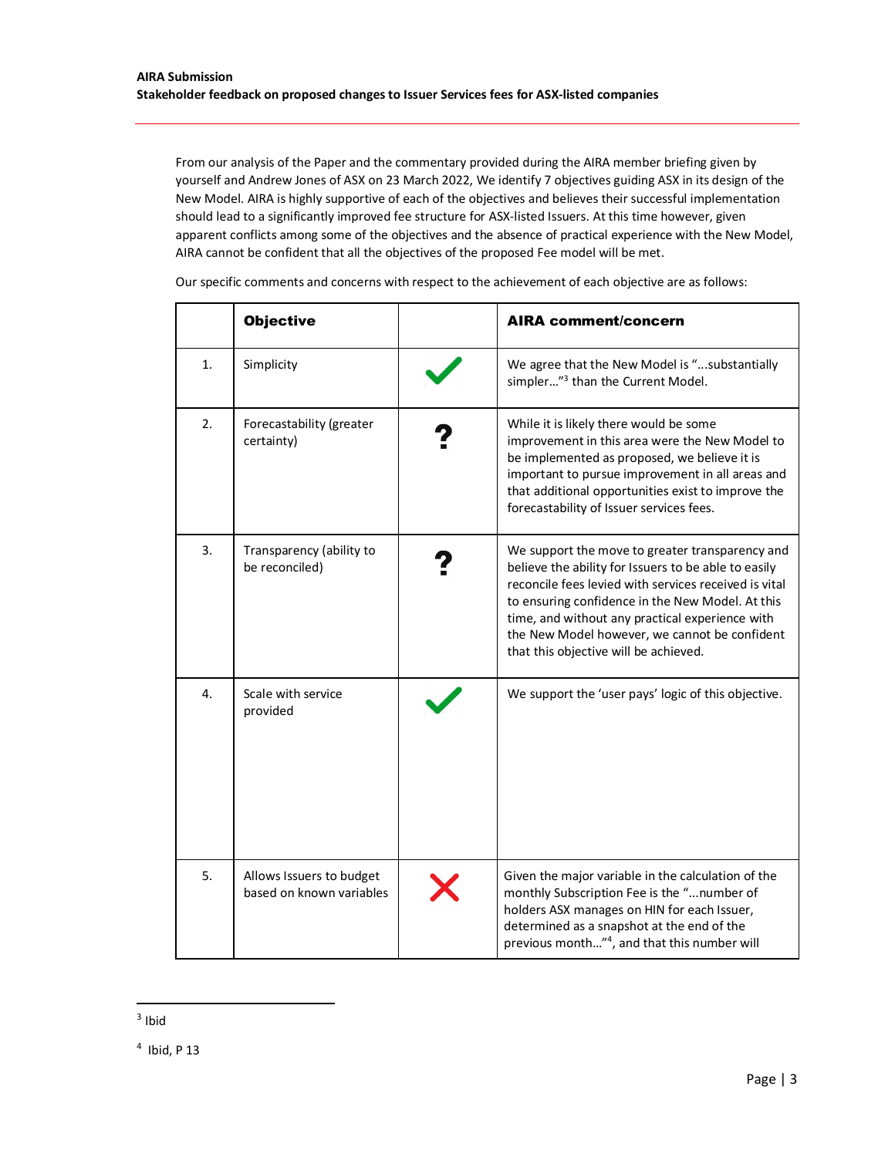From our analysis of the Paper and the commentary provided during the AIRA member briefing given by yourself and Andrew Jones of ASX on 23 March 2022, We identify 7 objectives guiding ASX in its design of the New Model. AIRA is highly supportive of each of the objectives and believes their successful implementation should lead to a significantly improved fee structure for ASX-listed Issuers. At this time however, given apparent conflicts among some of the objectives and the absence of practical experience with the New Model, AIRA cannot be confident that all the objectives of the proposed Fee model will be met.

|                  | <b>Objective</b>                                     | <b>AIRA comment/concern</b>                                                                                                                                                                                                                                                                                                                                       |  |
|------------------|------------------------------------------------------|-------------------------------------------------------------------------------------------------------------------------------------------------------------------------------------------------------------------------------------------------------------------------------------------------------------------------------------------------------------------|--|
| 1.               | Simplicity                                           | We agree that the New Model is "substantially<br>simpler" <sup>3</sup> than the Current Model.                                                                                                                                                                                                                                                                    |  |
| $\overline{2}$ . | Forecastability (greater<br>certainty)               | While it is likely there would be some<br>improvement in this area were the New Model to<br>be implemented as proposed, we believe it is<br>important to pursue improvement in all areas and<br>that additional opportunities exist to improve the<br>forecastability of Issuer services fees.                                                                    |  |
| 3.               | Transparency (ability to<br>be reconciled)           | We support the move to greater transparency and<br>believe the ability for Issuers to be able to easily<br>reconcile fees levied with services received is vital<br>to ensuring confidence in the New Model. At this<br>time, and without any practical experience with<br>the New Model however, we cannot be confident<br>that this objective will be achieved. |  |
| 4.               | Scale with service<br>provided                       | We support the 'user pays' logic of this objective.                                                                                                                                                                                                                                                                                                               |  |
| 5.               | Allows Issuers to budget<br>based on known variables | Given the major variable in the calculation of the<br>monthly Subscription Fee is the "number of<br>holders ASX manages on HIN for each Issuer,<br>determined as a snapshot at the end of the<br>previous month" <sup>4</sup> , and that this number will                                                                                                         |  |

Our specific comments and concerns with respect to the achievement of each objective are as follows:

 $3$  Ibid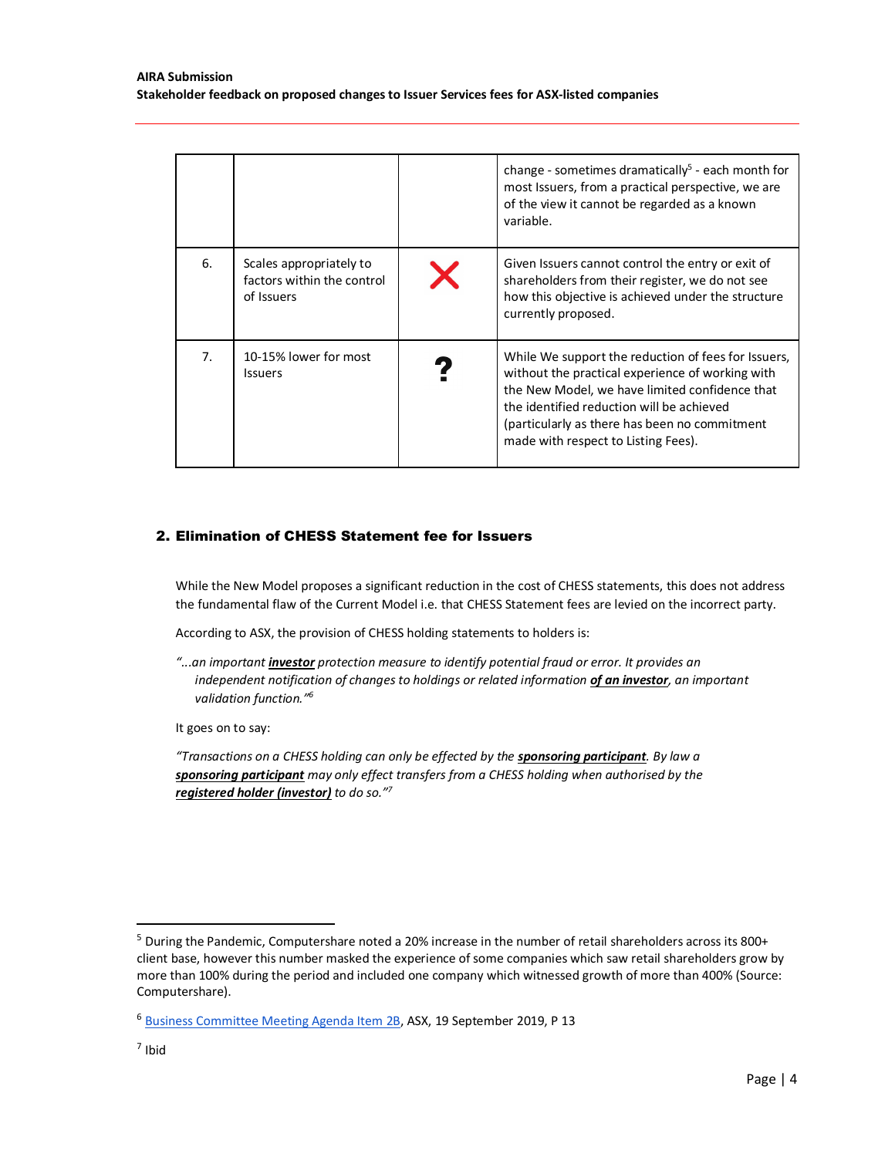|                |                                                                     |   | change - sometimes dramatically <sup>5</sup> - each month for<br>most Issuers, from a practical perspective, we are<br>of the view it cannot be regarded as a known<br>variable.                                                                                                               |
|----------------|---------------------------------------------------------------------|---|------------------------------------------------------------------------------------------------------------------------------------------------------------------------------------------------------------------------------------------------------------------------------------------------|
| 6.             | Scales appropriately to<br>factors within the control<br>of Issuers | X | Given Issuers cannot control the entry or exit of<br>shareholders from their register, we do not see<br>how this objective is achieved under the structure<br>currently proposed.                                                                                                              |
| 7 <sub>1</sub> | 10-15% lower for most<br><b>Issuers</b>                             |   | While We support the reduction of fees for Issuers,<br>without the practical experience of working with<br>the New Model, we have limited confidence that<br>the identified reduction will be achieved<br>(particularly as there has been no commitment<br>made with respect to Listing Fees). |

## 2. Elimination of CHESS Statement fee for Issuers

While the New Model proposes a significant reduction in the cost of CHESS statements, this does not address the fundamental flaw of the Current Model i.e. that CHESS Statement fees are levied on the incorrect party.

According to ASX, the provision of CHESS holding statements to holders is:

*"...an important investor protection measure to identify potential fraud or error. It provides an independent notification of changes to holdings or related information of an investor, an important validation function."<sup>6</sup>*

It goes on to say:

*"Transactions on a CHESS holding can only be effected by the sponsoring participant. By law a sponsoring participant may only effect transfers from a CHESS holding when authorised by the registered holder (investor) to do so."<sup>7</sup>*

 $5$  During the Pandemic, Computershare noted a 20% increase in the number of retail shareholders across its 800+ client base, however this number masked the experience of some companies which saw retail shareholders grow by more than 100% during the period and included one company which witnessed growth of more than 400% (Source: Computershare).

<sup>6</sup> Business Committee Meeting Agenda Item 2B, ASX, 19 September 2019, P 13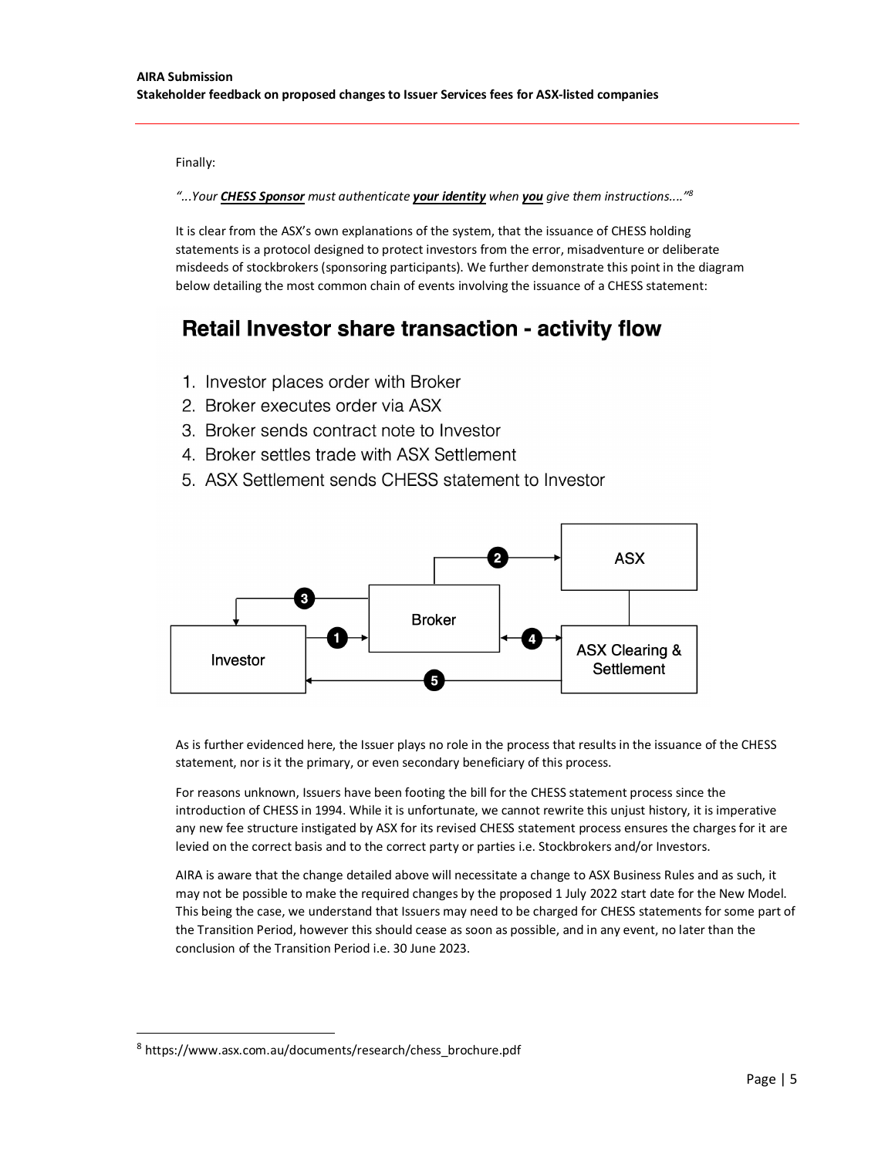Finally:

*"...Your CHESS Sponsor must authenticate your identity when you give them instructions...."<sup>8</sup>*

It is clear from the ASX's own explanations of the system, that the issuance of CHESS holding statements is a protocol designed to protect investors from the error, misadventure or deliberate misdeeds of stockbrokers (sponsoring participants). We further demonstrate this point in the diagram below detailing the most common chain of events involving the issuance of a CHESS statement:

# Retail Investor share transaction - activity flow

- 1. Investor places order with Broker
- 2. Broker executes order via ASX
- 3. Broker sends contract note to Investor
- 4. Broker settles trade with ASX Settlement
- 5. ASX Settlement sends CHESS statement to Investor



As is further evidenced here, the Issuer plays no role in the process that results in the issuance of the CHESS statement, nor is it the primary, or even secondary beneficiary of this process.

For reasons unknown, Issuers have been footing the bill for the CHESS statement process since the introduction of CHESS in 1994. While it is unfortunate, we cannot rewrite this unjust history, it is imperative any new fee structure instigated by ASX for its revised CHESS statement process ensures the charges for it are levied on the correct basis and to the correct party or parties i.e. Stockbrokers and/or Investors.

AIRA is aware that the change detailed above will necessitate a change to ASX Business Rules and as such, it may not be possible to make the required changes by the proposed 1 July 2022 start date for the New Model. This being the case, we understand that Issuers may need to be charged for CHESS statements for some part of the Transition Period, however this should cease as soon as possible, and in any event, no later than the conclusion of the Transition Period i.e. 30 June 2023.

<sup>8</sup> https://www.asx.com.au/documents/research/chess\_brochure.pdf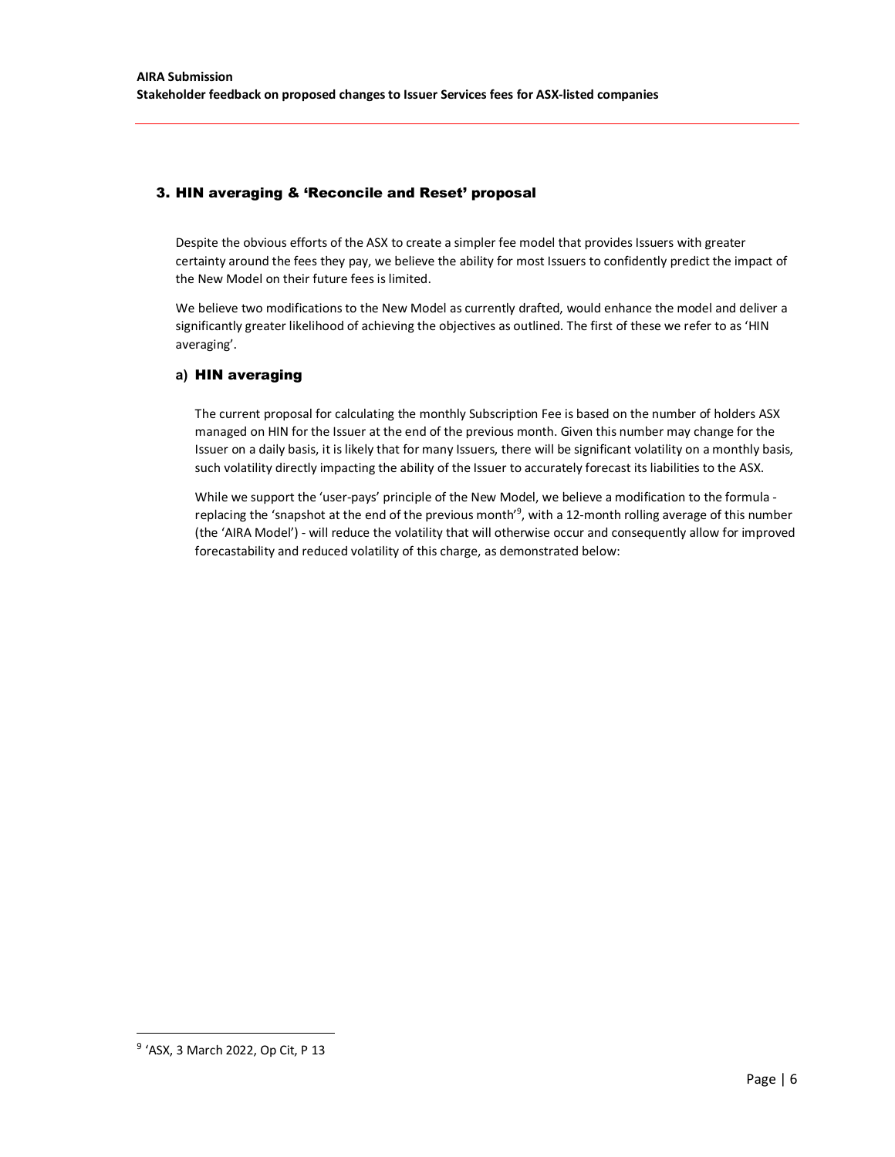# 3. HIN averaging & 'Reconcile and Reset' proposal

Despite the obvious efforts of the ASX to create a simpler fee model that provides Issuers with greater certainty around the fees they pay, we believe the ability for most Issuers to confidently predict the impact of the New Model on their future fees is limited.

We believe two modifications to the New Model as currently drafted, would enhance the model and deliver a significantly greater likelihood of achieving the objectives as outlined. The first of these we refer to as 'HIN averaging'.

### **a)** HIN averaging

The current proposal for calculating the monthly Subscription Fee is based on the number of holders ASX managed on HIN for the Issuer at the end of the previous month. Given this number may change for the Issuer on a daily basis, it is likely that for many Issuers, there will be significant volatility on a monthly basis, such volatility directly impacting the ability of the Issuer to accurately forecast its liabilities to the ASX.

While we support the 'user-pays' principle of the New Model, we believe a modification to the formula replacing the 'snapshot at the end of the previous month'<sup>9</sup>, with a 12-month rolling average of this number (the 'AIRA Model') - will reduce the volatility that will otherwise occur and consequently allow for improved forecastability and reduced volatility of this charge, as demonstrated below:

<sup>&</sup>lt;sup>9</sup> 'ASX, 3 March 2022, Op Cit, P 13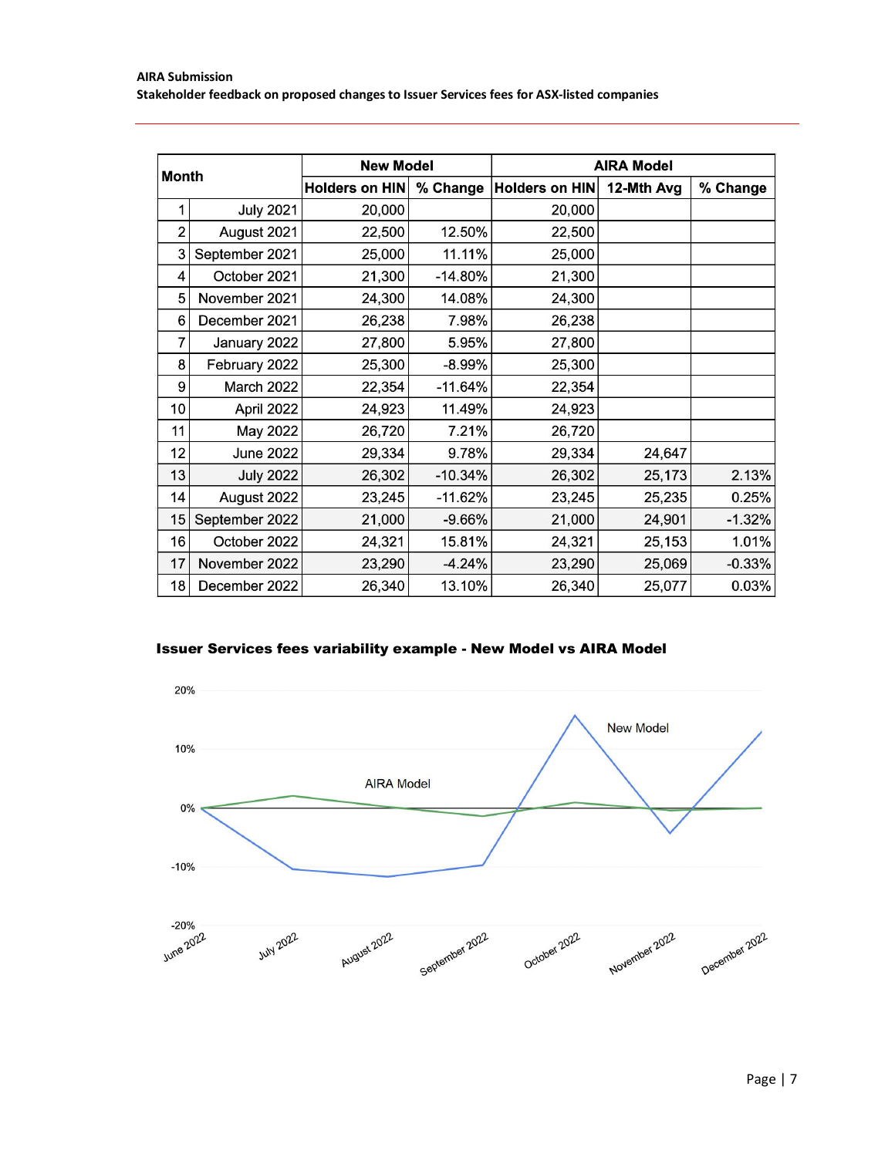| <b>Month</b>   |                  | <b>New Model</b>      |           | <b>AIRA Model</b>     |            |          |
|----------------|------------------|-----------------------|-----------|-----------------------|------------|----------|
|                |                  | <b>Holders on HIN</b> | % Change  | <b>Holders on HIN</b> | 12-Mth Avg | % Change |
|                | <b>July 2021</b> | 20,000                |           | 20,000                |            |          |
| $\overline{2}$ | August 2021      | 22,500                | 12.50%    | 22,500                |            |          |
| 3              | September 2021   | 25,000                | 11.11%    | 25,000                |            |          |
| 4              | October 2021     | 21,300                | $-14.80%$ | 21,300                |            |          |
| 5              | November 2021    | 24,300                | 14.08%    | 24,300                |            |          |
| 6              | December 2021    | 26,238                | 7.98%     | 26,238                |            |          |
| 7              | January 2022     | 27,800                | 5.95%     | 27,800                |            |          |
| 8              | February 2022    | 25,300                | $-8.99%$  | 25,300                |            |          |
| 9              | March 2022       | 22,354                | $-11.64%$ | 22,354                |            |          |
| 10             | April 2022       | 24,923                | 11.49%    | 24,923                |            |          |
| 11             | May 2022         | 26,720                | 7.21%     | 26,720                |            |          |
| 12             | <b>June 2022</b> | 29,334                | 9.78%     | 29,334                | 24,647     |          |
| 13             | <b>July 2022</b> | 26,302                | $-10.34%$ | 26,302                | 25,173     | 2.13%    |
| 14             | August 2022      | 23,245                | $-11.62%$ | 23,245                | 25,235     | 0.25%    |
| 15             | September 2022   | 21,000                | $-9.66%$  | 21,000                | 24,901     | $-1.32%$ |
| 16             | October 2022     | 24,321                | 15.81%    | 24,321                | 25,153     | 1.01%    |
| 17             | November 2022    | 23,290                | $-4.24%$  | 23,290                | 25,069     | $-0.33%$ |
| 18             | December 2022    | 26,340                | 13.10%    | 26,340                | 25,077     | 0.03%    |

## Issuer Services fees variability example - New Model vs AIRA Model